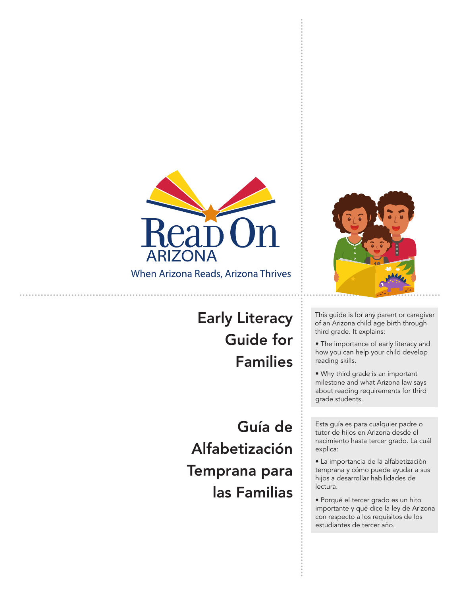

When Arizona Reads, Arizona Thrives

## Early Literacy Guide for Families

Guía de Alfabetización Temprana para las Familias



This guide is for any parent or caregiver of an Arizona child age birth through third grade. It explains:

• The importance of early literacy and how you can help your child develop reading skills.

• Why third grade is an important milestone and what Arizona law says about reading requirements for third grade students.

Esta guía es para cualquier padre o tutor de hijos en Arizona desde el nacimiento hasta tercer grado. La cuál explica:

• La importancia de la alfabetización temprana y cómo puede ayudar a sus hijos a desarrollar habilidades de lectura.

• Porqué el tercer grado es un hito importante y qué dice la ley de Arizona con respecto a los requisitos de los estudiantes de tercer año.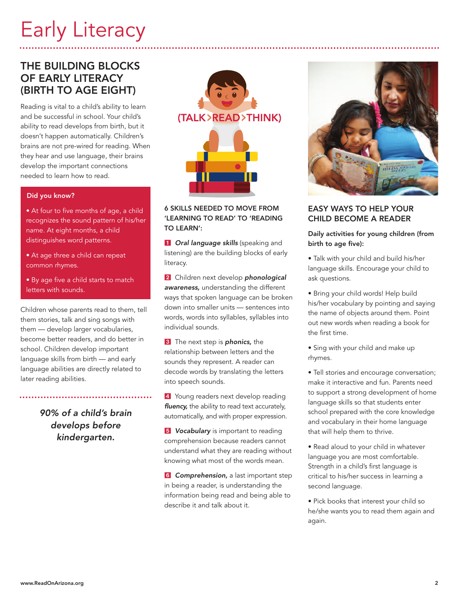# Early Literacy

## THE BUILDING BLOCKS OF EARLY LITERACY (BIRTH TO AGE EIGHT)

Reading is vital to a child's ability to learn and be successful in school. Your child's ability to read develops from birth, but it doesn't happen automatically. Children's brains are not pre-wired for reading. When they hear and use language, their brains develop the important connections needed to learn how to read.

#### Did you know?

- At four to five months of age, a child recognizes the sound pattern of his/her name. At eight months, a child distinguishes word patterns.
- At age three a child can repeat common rhymes.
- By age five a child starts to match letters with sounds.

Children whose parents read to them, tell them stories, talk and sing songs with them — develop larger vocabularies, become better readers, and do better in school. Children develop important language skills from birth — and early language abilities are directly related to later reading abilities.

> *90% of a child's brain develops before kindergarten.*



### 6 SKILLS NEEDED TO MOVE FROM 'LEARNING TO READ' TO 'READING TO LEARN':

**1 Oral language skills** (speaking and listening) are the building blocks of early literacy.

**2** Children next develop *phonological awareness,* understanding the different ways that spoken language can be broken down into smaller units — sentences into words, words into syllables, syllables into individual sounds.

**3** The next step is **phonics**, the relationship between letters and the sounds they represent. A reader can decode words by translating the letters into speech sounds.

4 Young readers next develop reading *fluency,* the ability to read text accurately, automatically, and with proper expression.

*J* Vocabulary is important to reading comprehension because readers cannot understand what they are reading without knowing what most of the words mean.

**6 Comprehension,** a last important step in being a reader, is understanding the information being read and being able to describe it and talk about it.



## EASY WAYS TO HELP YOUR CHILD BECOME A READER

### Daily activities for young children (from birth to age five):

- Talk with your child and build his/her language skills. Encourage your child to ask questions.
- Bring your child words! Help build his/her vocabulary by pointing and saying the name of objects around them. Point out new words when reading a book for the first time.
- Sing with your child and make up rhymes.
- Tell stories and encourage conversation; make it interactive and fun. Parents need to support a strong development of home language skills so that students enter school prepared with the core knowledge and vocabulary in their home language that will help them to thrive.
- Read aloud to your child in whatever language you are most comfortable. Strength in a child's first language is critical to his/her success in learning a second language.
- Pick books that interest your child so he/she wants you to read them again and again.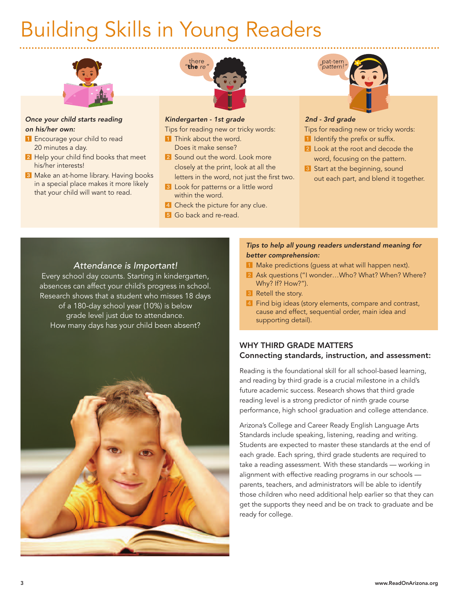# Building Skills in Young Readers



#### *Once your child starts reading on his/her own:*

- **Encourage your child to read** 20 minutes a day.
- 2 Help your child find books that meet his/her interests!
- 8 Make an at-home library. Having books in a special place makes it more likely that your child will want to read.



### *Kindergarten - 1st grade*

Tips for reading new or tricky words:

- **1** Think about the word. Does it make sense?
- 2 Sound out the word. Look more closely at the print, look at all the letters in the word, not just the first two.
- **8** Look for patterns or a little word within the word.
- **4** Check the picture for any clue.
- **5** Go back and re-read.



### *2nd - 3rd grade*

Tips for reading new or tricky words:

- I Identify the prefix or suffix.
- 2 Look at the root and decode the word, focusing on the pattern.
- <sup>3</sup> Start at the beginning, sound out each part, and blend it together.

## *Attendance is Important!*

Every school day counts. Starting in kindergarten, absences can affect your child's progress in school. Research shows that a student who misses 18 days of a 180-day school year (10%) is below grade level just due to attendance. How many days has your child been absent?



## *Tips to help all young readers understand meaning for better comprehension:*

- **1** Make predictions (guess at what will happen next).
- 2 Ask questions ("I wonder...Who? What? When? Where? Why? If? How?").
- <sup>3</sup> Retell the story.
- 4 Find big ideas (story elements, compare and contrast, cause and effect, sequential order, main idea and supporting detail).

## WHY THIRD GRADE MATTERS Connecting standards, instruction, and assessment:

Reading is the foundational skill for all school-based learning, and reading by third grade is a crucial milestone in a child's future academic success. Research shows that third grade reading level is a strong predictor of ninth grade course performance, high school graduation and college attendance.

Arizona's College and Career Ready English Language Arts Standards include speaking, listening, reading and writing. Students are expected to master these standards at the end of each grade. Each spring, third grade students are required to take a reading assessment. With these standards — working in alignment with effective reading programs in our schools parents, teachers, and administrators will be able to identify those children who need additional help earlier so that they can get the supports they need and be on track to graduate and be ready for college.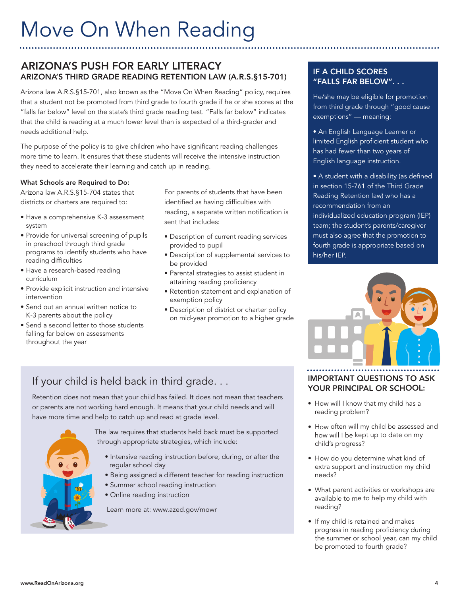# Move On When Reading

## ARIZONA'S PUSH FOR EARLY LITERACY ARIZONA'S THIRD GRADE READING RETENTION LAW (A.R.S.§15-701)

Arizona law A.R.S.§15-701, also known as the "Move On When Reading" policy, requires that a student not be promoted from third grade to fourth grade if he or she scores at the "falls far below" level on the state's third grade reading test. "Falls far below" indicates that the child is reading at a much lower level than is expected of a third-grader and needs additional help.

The purpose of the policy is to give children who have significant reading challenges more time to learn. It ensures that these students will receive the intensive instruction they need to accelerate their learning and catch up in reading.

### What Schools are Required to Do:

Arizona law A.R.S.§15-704 states that districts or charters are required to:

- Have a comprehensive K-3 assessment system
- Provide for universal screening of pupils in preschool through third grade programs to identify students who have reading difficulties
- Have a research-based reading curriculum
- Provide explicit instruction and intensive intervention
- Send out an annual written notice to K-3 parents about the policy
- Send a second letter to those students falling far below on assessments throughout the year

For parents of students that have been identified as having difficulties with reading, a separate written notification is sent that includes:

- Description of current reading services provided to pupil
- Description of supplemental services to be provided
- Parental strategies to assist student in attaining reading proficiency
- Retention statement and explanation of exemption policy
- Description of district or charter policy on mid-year promotion to a higher grade

## IF A CHILD SCORES "FALLS FAR BELOW". . .

He/she may be eligible for promotion from third grade through "good cause exemptions" — meaning:

• An English Language Learner or limited English proficient student who has had fewer than two years of English language instruction.

• A student with a disability (as defined in section 15-761 of the Third Grade Reading Retention law) who has a recommendation from an individualized education program (IEP) team; the student's parents/caregiver must also agree that the promotion to fourth grade is appropriate based on his/her IEP.



## If your child is held back in third grade. . .

Retention does not mean that your child has failed. It does not mean that teachers or parents are not working hard enough. It means that your child needs and will have more time and help to catch up and read at grade level.



The law requires that students held back must be supported through appropriate strategies, which include:

- Intensive reading instruction before, during, or after the regular school day
- Being assigned a different teacher for reading instruction
- Summer school reading instruction
- Online reading instruction

Learn more at: www.azed.gov/mowr

## IMPORTANT QUESTIONS TO ASK YOUR PRINCIPAL OR SCHOOL:

- How will I know that my child has <sup>a</sup> reading problem?
- How often will my child be assessed and how will <sup>I</sup> be kept up to date on my child's progress?
- How do you determine what kind of extra suppor<sup>t</sup> and instruction my child needs?
- What paren<sup>t</sup> activities or workshops are available to me to help my child with reading?
- If my child is retained and makes progress in reading proficiency during the summer or school year, can my child be promoted to fourth grade?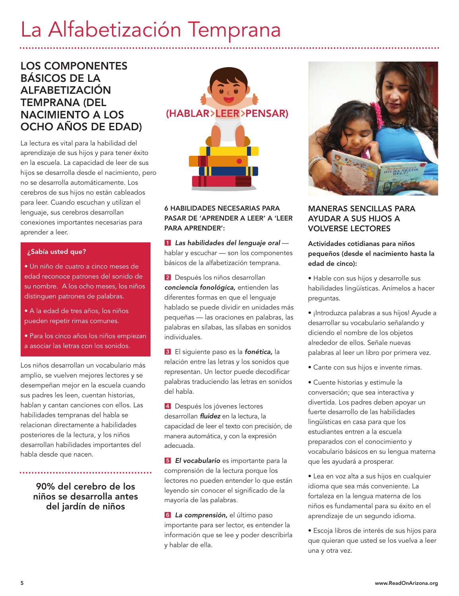## La Alfabetización Temprana

## LOS COMPONENTES BÁSICOS DE LA ALFABETIZACIÓN TEMPRANA (DEL NACIMIENTO A LOS OCHO AÑOS DE EDAD)

La lectura es vital para la habilidad del aprendizaje de sus hijos y para tener éxito en la escuela. La capacidad de leer de sus hijos se desarrolla desde el nacimiento, pero no se desarrolla automáticamente. Los cerebros de sus hijos no están cableados para leer. Cuando escuchan y utilizan el lenguaje, sus cerebros desarrollan conexiones importantes necesarias para aprender a leer.

#### ¿Sabía usted que?

- Un niño de cuatro a cinco meses de edad reconoce patrones del sonido de su nombre. A los ocho meses, los niños distinguen patrones de palabras.
- A la edad de tres años, los niños pueden repetir rimas comunes.
- Para los cinco años los niños empiezan a asociar las letras con los sonidos.

Los niños desarrollan un vocabulario más amplio, se vuelven mejores lectores y se desempeñan mejor en la escuela cuando sus padres les leen, cuentan historias, hablan y cantan canciones con ellos. Las habilidades tempranas del habla se relacionan directamente a habilidades posteriores de la lectura, y los niños desarrollan habilidades importantes del habla desde que nacen.

> 90% del cerebro de los niños se desarrolla antes del jardín de niños



## 6 HABILIDADES NECESARIAS PARA PASAR DE 'APRENDER A LEER' A 'LEER PARA APRENDER':

 *Las habilidades del lenguaje oral* hablar y escuchar — son los componentes básicos de la alfabetización temprana.

2 Después los niños desarrollan *conciencia fonológica,* entienden las diferentes formas en que el lenguaje hablado se puede dividir en unidades más pequeñas — las oraciones en palabras, las palabras en sílabas, las sílabas en sonidos individuales.

8 El siguiente paso es la **fonética**, la relación entre las letras y los sonidos que representan. Un lector puede decodificar palabras traduciendo las letras en sonidos del habla.

4 Después los jóvenes lectores desarrollan *fluidez* en la lectura, la capacidad de leer el texto con precisión, de manera automática, y con la expresión adecuada.

 *El vocabulario* es importante para la comprensión de la lectura porque los lectores no pueden entender lo que están leyendo sin conocer el significado de la mayoría de las palabras.

 *La comprensión,* el último paso importante para ser lector, es entender la información que se lee y poder describirla y hablar de ella.



## MANERAS SENCILLAS PARA AYUDAR A SUS HIJOS A VOLVERSE LECTORES

Actividades cotidianas para niños pequeños (desde el nacimiento hasta la edad de cinco):

- Hable con sus hijos y desarrolle sus habilidades lingüísticas. Anímelos a hacer preguntas.
- ¡Introduzca palabras a sus hijos! Ayude a desarrollar su vocabulario señalando y diciendo el nombre de los objetos alrededor de ellos. Señale nuevas palabras al leer un libro por primera vez.
- Cante con sus hijos e invente rimas.
- Cuente historias y estimule la conversación; que sea interactiva y divertida. Los padres deben apoyar un fuerte desarrollo de las habilidades lingüísticas en casa para que los estudiantes entren a la escuela preparados con el conocimiento y vocabulario básicos en su lengua materna que les ayudará a prosperar.
- Lea en voz alta a sus hijos en cualquier idioma que sea más conveniente. La fortaleza en la lengua materna de los niños es fundamental para su éxito en el aprendizaje de un segundo idioma.
- Escoja libros de interés de sus hijos para que quieran que usted se los vuelva a leer una y otra vez.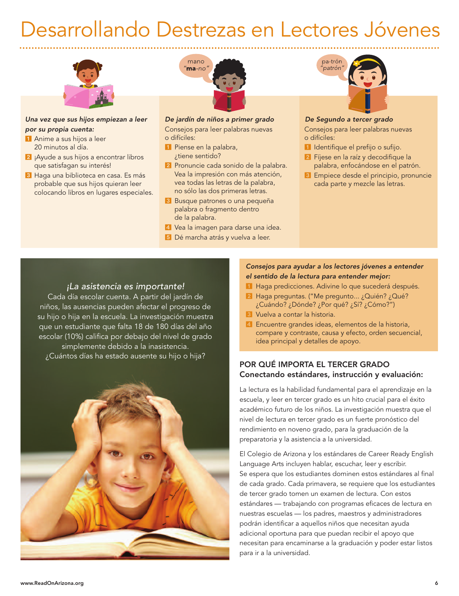## Desarrollando Destrezas en Lectores Jóvenes



#### *Una vez que sus hijos empiezan a leer por su propia cuenta:*

- Anime a sus hijos a leer 20 minutos al día.
- <sup>2</sup> ¡Ayude a sus hijos a encontrar libros que satisfagan su interés!
- <sup>3</sup> Haga una biblioteca en casa. Es más probable que sus hijos quieran leer colocando libros en lugares especiales.



## *De jardín de niños a primer grado*

Consejos para leer palabras nuevas o difíciles:

- **1** Piense en la palabra, ¿tiene sentido?
- 2 Pronuncie cada sonido de la palabra. Vea la impresión con más atención, vea todas las letras de la palabra, no sólo las dos primeras letras.
- 8 Busque patrones o una pequeña palabra o fragmento dentro de la palabra.
- 4 Vea la imagen para darse una idea.
- 5 Dé marcha atrás y vuelva a leer.



#### *De Segundo a tercer grado*

Consejos para leer palabras nuevas o difíciles:

- Il Identifique el prefijo o sufijo.
- **2** Fíjese en la raíz y decodifique la palabra, enfocándose en el patrón.
- 8 Empiece desde el principio, pronuncie cada parte y mezcle las letras.

## *¡La asistencia es importante!*

Cada día escolar cuenta. A partir del jardín de niños, las ausencias pueden afectar el progreso de su hijo o hija en la escuela. La investigación muestra que un estudiante que falta 18 de 180 días del año escolar (10%) califica por debajo del nivel de grado simplemente debido a la inasistencia. ¿Cuántos días ha estado ausente su hijo o hija?



## *Consejos para ayudar a los lectores jóvenes a entender el sentido de la lectura para entender mejor:*

- Haga predicciones. Adivine lo que sucederá después.
- Haga preguntas. ("Me pregunto... ¿Quién? ¿Qué? ¿Cuándo? ¿Dónde? ¿Por qué? ¿Sí? ¿Cómo?")
- **8** Vuelva a contar la historia.
- Encuentre grandes ideas, elementos de la historia, compare y contraste, causa y efecto, orden secuencial, idea principal y detalles de apoyo.

## POR QUÉ IMPORTA EL TERCER GRADO Conectando estándares, instrucción y evaluación:

La lectura es la habilidad fundamental para el aprendizaje en la escuela, y leer en tercer grado es un hito crucial para el éxito académico futuro de los niños. La investigación muestra que el nivel de lectura en tercer grado es un fuerte pronóstico del rendimiento en noveno grado, para la graduación de la preparatoria y la asistencia a la universidad.

El Colegio de Arizona y los estándares de Career Ready English Language Arts incluyen hablar, escuchar, leer y escribir. Se espera que los estudiantes dominen estos estándares al final de cada grado. Cada primavera, se requiere que los estudiantes de tercer grado tomen un examen de lectura. Con estos estándares — trabajando con programas eficaces de lectura en nuestras escuelas — los padres, maestros y administradores podrán identificar a aquellos niños que necesitan ayuda adicional oportuna para que puedan recibir el apoyo que necesitan para encaminarse a la graduación y poder estar listos para ir a la universidad.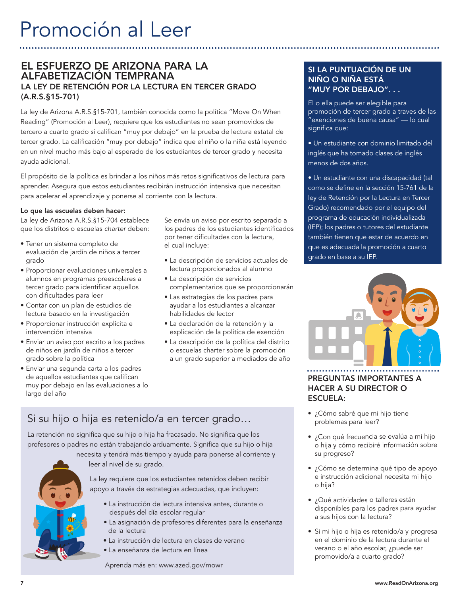## EL ESFUERZO DE ARIZONA PARA LA ALFABETIZACIÓN TEMPRANA LA LEY DE RETENCIÓN POR LA LECTURA EN TERCER GRADO (A.R.S.§15-701)

La ley de Arizona A.R.S.§15-701, también conocida como la política "Move On When Reading" (Promoción al Leer), requiere que los estudiantes no sean promovidos de tercero a cuarto grado si califican "muy por debajo" en la prueba de lectura estatal de tercer grado. La calificación "muy por debajo" indica que el niño o la niña está leyendo en un nivel mucho más bajo al esperado de los estudiantes de tercer grado y necesita ayuda adicional.

El propósito de la política es brindar a los niños más retos significativos de lectura para aprender. Asegura que estos estudiantes recibirán instrucción intensiva que necesitan para acelerar el aprendizaje y ponerse al corriente con la lectura.

#### Lo que las escuelas deben hacer:

La ley de Arizona A.R.S.§15-704 establece que los distritos o escuelas *charter* deben:

- Tener un sistema completo de evaluación de jardín de niños a tercer grado
- Proporcionar evaluaciones universales a alumnos en programas preescolares a tercer grado para identificar aquellos con dificultades para leer
- Contar con un plan de estudios de lectura basado en la investigación
- Proporcionar instrucción explícita e intervención intensiva
- Enviar un aviso por escrito a los padres de niños en jardín de niños a tercer grado sobre la política
- Enviar una segunda carta a los padres de aquellos estudiantes que califican muy por debajo en las evaluaciones a lo largo del año

Se envía un aviso por escrito separado a los padres de los estudiantes identificados por tener dificultades con la lectura, el cual incluye:

- La descripción de servicios actuales de lectura proporcionados al alumno
- La descripción de servicios complementarios que se proporcionarán
- Las estrategias de los padres para ayudar a los estudiantes a alcanzar habilidades de lector
- La declaración de la retención y la explicación de la política de exención
- La descripción de la política del distrito o escuelas charter sobre la promoción a un grado superior a mediados de año

## SI LA PUNTUACIÓN DE UN NIÑO O NIÑA ESTÁ "MUY POR DEBAJO". . .

El o ella puede ser elegible para promoción de tercer grado a traves de las "exenciones de buena causa" — lo cual significa que:

- Un estudiante con dominio limitado del inglés que ha tomado clases de inglés menos de dos años.
- Un estudiante con una discapacidad (tal como se define en la sección 15-761 de la ley de Retención por la Lectura en Tercer Grado) recomendado por el equipo del programa de educación individualizada (IEP); los padres o tutores del estudiante también tienen que estar de acuerdo en que es adecuada la promoción a cuarto grado en base a su IEP.



## PREGUNTAS IMPORTANTES A HACER A SU DIRECTOR O ESCUELA:

- ¿Cómo sabré que mi hijo tiene problemas para leer?
- ¿Con qu<sup>é</sup> frecuencia se evalúa <sup>a</sup> mi hijo <sup>o</sup> hija <sup>y</sup> cómo recibiré información sobre su progreso?
- ¿Cómo se determina qu<sup>é</sup> tipo de apoyo <sup>e</sup> instrucción adicional necesita mi hijo <sup>o</sup> hija?
- ¿Qué actividades <sup>o</sup> talleres están disponibles para los padres para ayudar <sup>a</sup> sus hijos con la lectura?
- Si mi hijo <sup>o</sup> hija es retenido/a <sup>y</sup> progresa en el dominio de la lectura durante el verano <sup>o</sup> el año escolar, ¿puede ser promovido/a <sup>a</sup> cuarto grado?

## Si su hijo o hija es retenido/a en tercer grado…

La retención no significa que su hijo o hija ha fracasado. No significa que los profesores o padres no están trabajando arduamente. Significa que su hijo o hija

- 
- necesita y tendrá más tiempo y ayuda para ponerse al corriente y leer al nivel de su grado.

La ley requiere que los estudiantes retenidos deben recibir apoyo a través de estrategias adecuadas, que incluyen:

- La instrucción de lectura intensiva antes, durante o después del día escolar regular
- La asignación de profesores diferentes para la enseñanza de la lectura
- La instrucción de lectura en clases de verano
- La enseñanza de lectura en línea

Aprenda más en: www.azed.gov/mowr